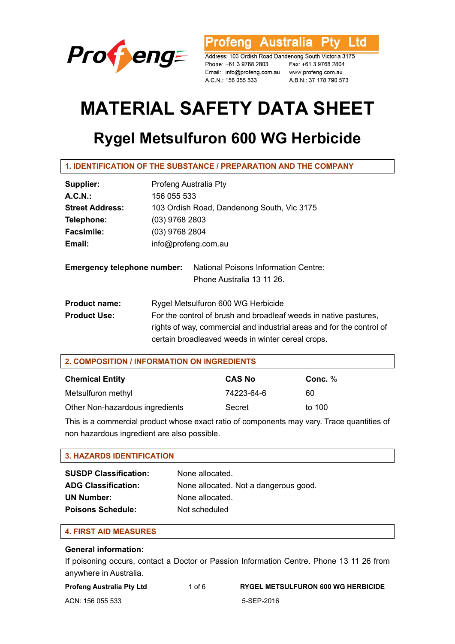

rofeng Australia **Ptv** Ltd

Address: 103 Ordish Road Dandenong South Victoria 3175 Phone: +61 3 9768 2803 Fax: +61 3 9768 2804<br>Email: info@profeng.com.au www.profeng.com.au A.C.N.: 156 055 533 A.B.N.: 37 178 790 573

# **MATERIAL SAFETY DATA SHEET**

# **Rygel Metsulfuron 600 WG Herbicide**

| Profeng Australia Pty                                                                                                                                                                          |  |
|------------------------------------------------------------------------------------------------------------------------------------------------------------------------------------------------|--|
| 156 055 533                                                                                                                                                                                    |  |
| 103 Ordish Road, Dandenong South, Vic 3175                                                                                                                                                     |  |
| $(03)$ 9768 2803                                                                                                                                                                               |  |
| (03) 9768 2804                                                                                                                                                                                 |  |
| info@profeng.com.au                                                                                                                                                                            |  |
| <b>National Poisons Information Centre:</b><br><b>Emergency telephone number:</b><br>Phone Australia 13 11 26.                                                                                 |  |
| Rygel Metsulfuron 600 WG Herbicide                                                                                                                                                             |  |
| For the control of brush and broadleaf weeds in native pastures,<br>rights of way, commercial and industrial areas and for the control of<br>certain broadleaved weeds in winter cereal crops. |  |
|                                                                                                                                                                                                |  |

| 2. COMPOSITION / INFORMATION ON INGREDIENTS |               |           |  |  |
|---------------------------------------------|---------------|-----------|--|--|
| <b>Chemical Entity</b>                      | <b>CAS No</b> | Conc. $%$ |  |  |
| Metsulfuron methyl                          | 74223-64-6    | 60        |  |  |
| Other Non-hazardous ingredients             | Secret        | to 100    |  |  |

This is a commercial product whose exact ratio of components may vary. Trace quantities of non hazardous ingredient are also possible.

# **3. HAZARDS IDENTIFICATION**

| <b>SUSDP Classification:</b> | None allocated.                       |
|------------------------------|---------------------------------------|
| <b>ADG Classification:</b>   | None allocated. Not a dangerous good. |
| <b>UN Number:</b>            | None allocated.                       |
| <b>Poisons Schedule:</b>     | Not scheduled                         |

# **4. FIRST AID MEASURES**

### **General information:**

If poisoning occurs, contact a Doctor or Passion Information Centre. Phone 13 11 26 from anywhere in Australia.

| Profeng Australia Pty Ltd | 1 of $6$ |
|---------------------------|----------|
|                           |          |

**RYGEL METSULFURON 600 WG HERBICIDE** 

ACN: 156 055 533 5-SEP-2016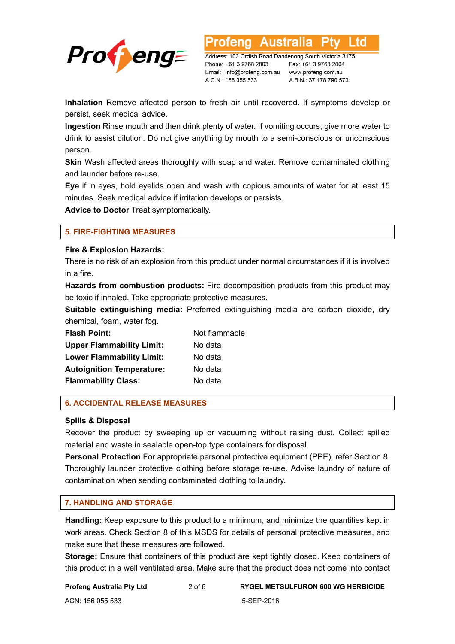

∟td

Address: 103 Ordish Road Dandenong South Victoria 3175 Phone: +61 3 9768 2803 Email: info@profeng.com.au www.profeng.com.au A.C.N.: 156 055 533

Fax: +61 3 9768 2804 A.B.N.: 37 178 790 573

**Inhalation** Remove affected person to fresh air until recovered. If symptoms develop or persist, seek medical advice.

**Ingestion** Rinse mouth and then drink plenty of water. If vomiting occurs, give more water to drink to assist dilution. Do not give anything by mouth to a semi-conscious or unconscious person.

**Skin** Wash affected areas thoroughly with soap and water. Remove contaminated clothing and launder before re-use.

**Eye** if in eyes, hold eyelids open and wash with copious amounts of water for at least 15 minutes. Seek medical advice if irritation develops or persists.

**Advice to Doctor** Treat symptomatically.

### **5. FIRE-FIGHTING MEASURES**

#### **Fire & Explosion Hazards:**

There is no risk of an explosion from this product under normal circumstances if it is involved in a fire.

**Hazards from combustion products:** Fire decomposition products from this product may be toxic if inhaled. Take appropriate protective measures.

**Suitable extinguishing media:** Preferred extinguishing media are carbon dioxide, dry chemical, foam, water fog.

| <b>Flash Point:</b>              | Not flammable |
|----------------------------------|---------------|
| <b>Upper Flammability Limit:</b> | No data       |
| <b>Lower Flammability Limit:</b> | No data       |
| <b>Autoignition Temperature:</b> | No data       |
| <b>Flammability Class:</b>       | No data       |

### **6. ACCIDENTAL RELEASE MEASURES**

### **Spills & Disposal**

Recover the product by sweeping up or vacuuming without raising dust. Collect spilled material and waste in sealable open-top type containers for disposal.

**Personal Protection** For appropriate personal protective equipment (PPE), refer Section 8. Thoroughly launder protective clothing before storage re-use. Advise laundry of nature of contamination when sending contaminated clothing to laundry.

### **7. HANDLING AND STORAGE**

**Handling:** Keep exposure to this product to a minimum, and minimize the quantities kept in work areas. Check Section 8 of this MSDS for details of personal protective measures, and make sure that these measures are followed.

**Storage:** Ensure that containers of this product are kept tightly closed. Keep containers of this product in a well ventilated area. Make sure that the product does not come into contact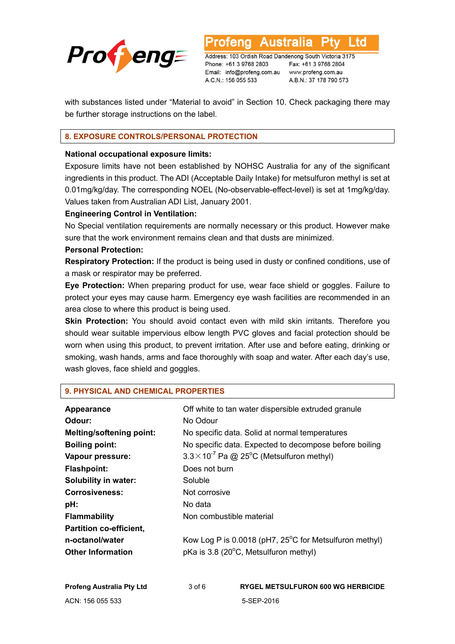

.td

Address: 103 Ordish Road Dandenong South Victoria 3175 Phone: +61 3 9768 2803 Email: info@profeng.com.au www.profeng.com.au A.C.N.: 156 055 533

Fax: +61 3 9768 2804 A.B.N.: 37 178 790 573

with substances listed under "Material to avoid" in Section 10. Check packaging there may be further storage instructions on the label.

# **8. EXPOSURE CONTROLS/PERSONAL PROTECTION**

#### **National occupational exposure limits:**

Exposure limits have not been established by NOHSC Australia for any of the significant ingredients in this product. The ADI (Acceptable Daily Intake) for metsulfuron methyl is set at 0.01mg/kg/day. The corresponding NOEL (No-observable-effect-level) is set at 1mg/kg/day. Values taken from Australian ADI List, January 2001.

### **Engineering Control in Ventilation:**

No Special ventilation requirements are normally necessary or this product. However make sure that the work environment remains clean and that dusts are minimized.

#### **Personal Protection:**

**Respiratory Protection:** If the product is being used in dusty or confined conditions, use of a mask or respirator may be preferred.

**Eye Protection:** When preparing product for use, wear face shield or goggles. Failure to protect your eyes may cause harm. Emergency eye wash facilities are recommended in an area close to where this product is being used.

**Skin Protection:** You should avoid contact even with mild skin irritants. Therefore you should wear suitable impervious elbow length PVC gloves and facial protection should be worn when using this product, to prevent irritation. After use and before eating, drinking or smoking, wash hands, arms and face thoroughly with soap and water. After each day's use, wash gloves, face shield and goggles.

### **9. PHYSICAL AND CHEMICAL PROPERTIES**

| Appearance                       |                                                        | Off white to tan water dispersible extruded granule              |
|----------------------------------|--------------------------------------------------------|------------------------------------------------------------------|
| Odour:                           | No Odour                                               |                                                                  |
| <b>Melting/softening point:</b>  |                                                        | No specific data. Solid at normal temperatures                   |
| <b>Boiling point:</b>            |                                                        | No specific data. Expected to decompose before boiling           |
| Vapour pressure:                 |                                                        | $3.3 \times 10^{-7}$ Pa @ 25 <sup>o</sup> C (Metsulfuron methyl) |
| <b>Flashpoint:</b>               | Does not burn                                          |                                                                  |
| Solubility in water:             | Soluble                                                |                                                                  |
| <b>Corrosiveness:</b>            | Not corrosive                                          |                                                                  |
| pH:                              | No data                                                |                                                                  |
| <b>Flammability</b>              | Non combustible material                               |                                                                  |
| <b>Partition co-efficient,</b>   |                                                        |                                                                  |
| n-octanol/water                  | Kow Log P is 0.0018 (pH7, 25°C for Metsulfuron methyl) |                                                                  |
| <b>Other Information</b>         | pKa is 3.8 (20°C, Metsulfuron methyl)                  |                                                                  |
| <b>Profeng Australia Pty Ltd</b> | $3$ of $6$                                             | <b>RYGEL METSULFURON 600 WG HERBICIDE</b>                        |
| ACN: 156 055 533                 |                                                        | 5-SEP-2016                                                       |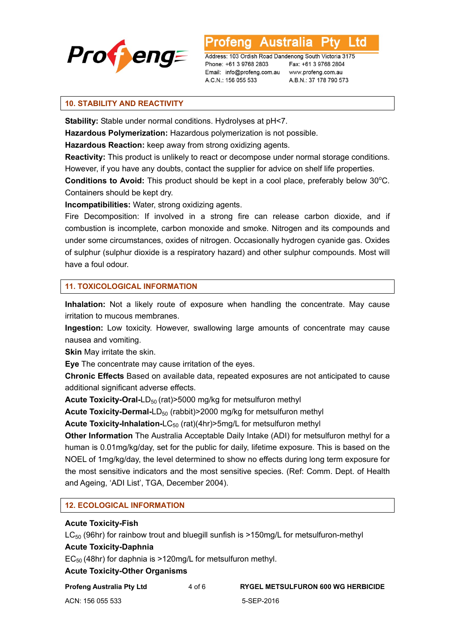

td

Address: 103 Ordish Road Dandenong South Victoria 3175 Phone: +61 3 9768 2803 Email: info@profeng.com.au www.profeng.com.au A.C.N.: 156 055 533

Fax: +61 3 9768 2804 A.B.N.: 37 178 790 573

# **10. STABILITY AND REACTIVITY**

**Stability:** Stable under normal conditions. Hydrolyses at pH<7.

**Hazardous Polymerization:** Hazardous polymerization is not possible.

**Hazardous Reaction:** keep away from strong oxidizing agents.

**Reactivity:** This product is unlikely to react or decompose under normal storage conditions. However, if you have any doubts, contact the supplier for advice on shelf life properties.

Conditions to Avoid: This product should be kept in a cool place, preferably below 30<sup>o</sup>C. Containers should be kept dry.

**Incompatibilities:** Water, strong oxidizing agents.

Fire Decomposition: If involved in a strong fire can release carbon dioxide, and if combustion is incomplete, carbon monoxide and smoke. Nitrogen and its compounds and under some circumstances, oxides of nitrogen. Occasionally hydrogen cyanide gas. Oxides of sulphur (sulphur dioxide is a respiratory hazard) and other sulphur compounds. Most will have a foul odour.

# **11. TOXICOLOGICAL INFORMATION**

**Inhalation:** Not a likely route of exposure when handling the concentrate. May cause irritation to mucous membranes.

**Ingestion:** Low toxicity. However, swallowing large amounts of concentrate may cause nausea and vomiting.

**Skin** May irritate the skin.

**Eye** The concentrate may cause irritation of the eyes.

**Chronic Effects** Based on available data, repeated exposures are not anticipated to cause additional significant adverse effects.

**Acute Toxicity-Oral-LD<sub>50</sub>** (rat)>5000 mg/kg for metsulfuron methyl

**Acute Toxicity-Dermal-LD<sub>50</sub>** (rabbit)>2000 mg/kg for metsulfuron methyl

**Acute Toxicity-Inhalation-LC<sub>50</sub>** (rat)(4hr)>5mg/L for metsulfuron methyl

**Other Information** The Australia Acceptable Daily Intake (ADI) for metsulfuron methyl for a human is 0.01mg/kg/day, set for the public for daily, lifetime exposure. This is based on the NOEL of 1mg/kg/day, the level determined to show no effects during long term exposure for the most sensitive indicators and the most sensitive species. (Ref: Comm. Dept. of Health and Ageing, 'ADI List', TGA, December 2004).

### **12. ECOLOGICAL INFORMATION**

### **Acute Toxicity-Fish**

 $LC_{50}$  (96hr) for rainbow trout and bluegill sunfish is >150mg/L for metsulfuron-methyl

### **Acute Toxicity-Daphnia**

 $EC_{50}$  (48hr) for daphnia is >120mg/L for metsulfuron methyl.

### **Acute Toxicity-Other Organisms**

**Profeng Australia Pty Ltd** 4 of 6 **RYGEL METSULFURON 600 WG HERBICIDE**

ACN: 156 055 533 5-SEP-2016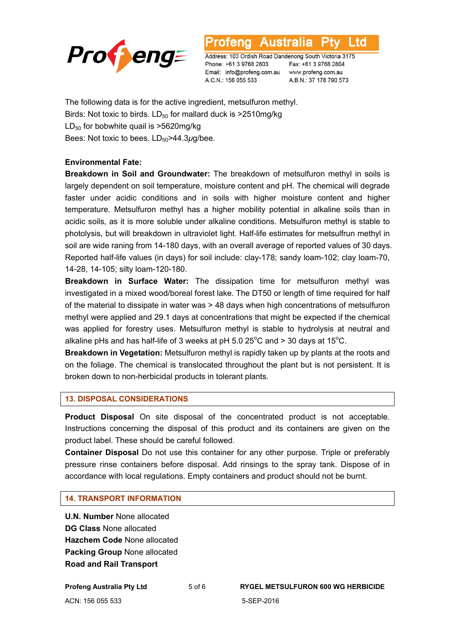

L to

Address: 103 Ordish Road Dandenong South Victoria 3175 Phone: +61 3 9768 2803 Email: info@profeng.com.au www.profeng.com.au A.C.N.: 156 055 533

Fax: +61 3 9768 2804 A.B.N.: 37 178 790 573

The following data is for the active ingredient, metsulfuron methyl. Birds: Not toxic to birds.  $LD_{50}$  for mallard duck is  $>2510$ mg/kg  $LD_{50}$  for bobwhite quail is  $>5620$ mg/kg Bees: Not toxic to bees. LD<sub>50</sub>>44.3µg/bee.

#### **Environmental Fate:**

**Breakdown in Soil and Groundwater:** The breakdown of metsulfuron methyl in soils is largely dependent on soil temperature, moisture content and pH. The chemical will degrade faster under acidic conditions and in soils with higher moisture content and higher temperature. Metsulfuron methyl has a higher mobility potential in alkaline soils than in acidic soils, as it is more soluble under alkaline conditions. Metsulfuron methyl is stable to photolysis, but will breakdown in ultraviolet light. Half-life estimates for metsulfrun methyl in soil are wide raning from 14-180 days, with an overall average of reported values of 30 days. Reported half-life values (in days) for soil include: clay-178; sandy loam-102; clay loam-70, 14-28, 14-105; silty loam-120-180.

**Breakdown in Surface Water:** The dissipation time for metsulfuron methyl was investigated in a mixed wood/boreal forest lake. The DT50 or length of time required for half of the material to dissipate in water was > 48 days when high concentrations of metsulfuron methyl were applied and 29.1 days at concentrations that might be expected if the chemical was applied for forestry uses. Metsulfuron methyl is stable to hydrolysis at neutral and alkaline pHs and has half-life of 3 weeks at pH 5.0 25 $^{\circ}$ C and > 30 days at 15 $^{\circ}$ C.

**Breakdown in Vegetation:** Metsulfuron methyl is rapidly taken up by plants at the roots and on the foliage. The chemical is translocated throughout the plant but is not persistent. It is broken down to non-herbicidal products in tolerant plants.

#### **13. DISPOSAL CONSIDERATIONS**

**Product Disposal** On site disposal of the concentrated product is not acceptable. Instructions concerning the disposal of this product and its containers are given on the product label. These should be careful followed.

**Container Disposal** Do not use this container for any other purpose. Triple or preferably pressure rinse containers before disposal. Add rinsings to the spray tank. Dispose of in accordance with local regulations. Empty containers and product should not be burnt.

#### **14. TRANSPORT INFORMATION**

**U.N. Number** None allocated **DG Class** None allocated **Hazchem Code** None allocated **Packing Group** None allocated **Road and Rail Transport** 

**Profeng Australia Pty Ltd** 5 of 6 **RYGEL METSULFURON 600 WG HERBICIDE** ACN: 156 055 533 5-SEP-2016